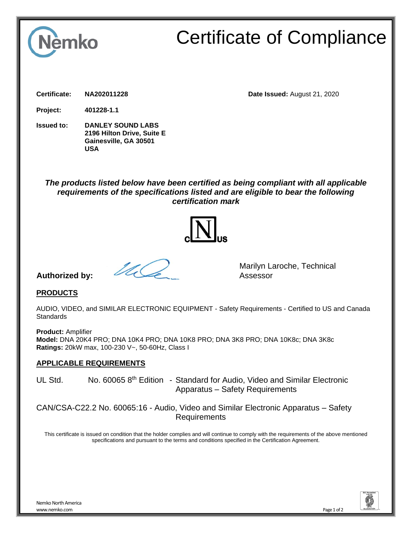

# Certificate of Compliance

**Certificate: NA202011228 Date Issued:** August 21, 2020

**Project: 401228-1.1**

**Issued to: DANLEY SOUND LABS 2196 Hilton Drive, Suite E Gainesville, GA 30501 USA**

# *The products listed below have been certified as being compliant with all applicable requirements of the specifications listed and are eligible to bear the following certification mark*



## **Authorized by:**



Marilyn Laroche, Technical Assessor

## **PRODUCTS**

AUDIO, VIDEO, and SIMILAR ELECTRONIC EQUIPMENT - Safety Requirements - Certified to US and Canada **Standards** 

**Product:** Amplifier **Model:** DNA 20K4 PRO; DNA 10K4 PRO; DNA 10K8 PRO; DNA 3K8 PRO; DNA 10K8c; DNA 3K8c **Ratings:** 20kW max, 100-230 V~, 50-60Hz, Class I

#### **APPLICABLE REQUIREMENTS**

UL Std. No. 60065 8<sup>th</sup> Edition - Standard for Audio, Video and Similar Electronic Apparatus – Safety Requirements

CAN/CSA-C22.2 No. 60065:16 - Audio, Video and Similar Electronic Apparatus – Safety Requirements

This certificate is issued on condition that the holder complies and will continue to comply with the requirements of the above mentioned specifications and pursuant to the terms and conditions specified in the Certification Agreement.